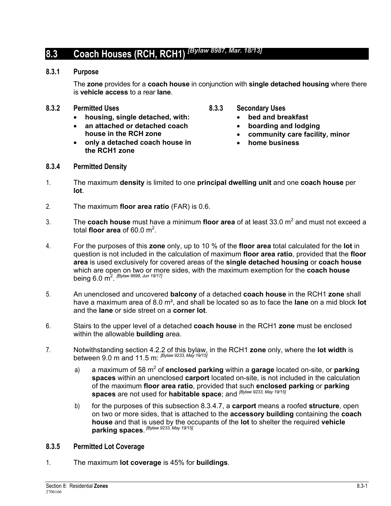# **8.3 Coach Houses (RCH, RCH1)** *[Bylaw 8987, Mar. 18/13]*

### **8.3.1 Purpose**

The **zone** provides for a **coach house** in conjunction with **single detached housing** where there is **vehicle access** to a rear **lane**.

#### **8.3.2 Permitted Uses**

- **housing, single detached, with:**
- **an attached or detached coach house in the RCH zone**
- **only a detached coach house in the RCH1 zone**
- **8.3.3 Secondary Uses** 
	- **bed and breakfast**
	- **boarding and lodging**
	- **community care facility, minor**
	- **home business**

- **8.3.4 Permitted Density**
- 1. The maximum **density** is limited to one **principal dwelling unit** and one **coach house** per **lot**.
- 2. The maximum **floor area ratio** (FAR) is 0.6.
- 3. The **coach house** must have a minimum **floor area** of at least 33.0 m<sup>2</sup> and must not exceed a total **floor area** of 60.0  $m^2$ .
- 4. For the purposes of this **zone** only, up to 10 % of the **floor area** total calculated for the **lot** in question is not included in the calculation of maximum **floor area ratio**, provided that the **floor area** is used exclusively for covered areas of the **single detached housing** or **coach house** which are open on two or more sides, with the maximum exemption for the **coach house** being 6.0 m2 . *[Bylaw 9699, Jun 19/17]*
- 5. An unenclosed and uncovered **balcony** of a detached **coach house** in the RCH1 **zone** shall have a maximum area of 8.0 m², and shall be located so as to face the **lane** on a mid block **lot** and the **lane** or side street on a **corner lot**.
- 6. Stairs to the upper level of a detached **coach house** in the RCH1 **zone** must be enclosed within the allowable **building** area.
- 7. Notwithstanding section 4.2.2 of this bylaw, in the RCH1 **zone** only, where the **lot width** is between 9.0 m and 11.5 m: *[Bylaw 9233, May 19/15]*
	- a) a maximum of 58 m<sup>2</sup> of **enclosed parking** within a **garage** located on-site, or **parking spaces** within an unenclosed **carport** located on-site, is not included in the calculation of the maximum **floor area ratio**, provided that such **enclosed parking** or **parking spaces** are not used for **habitable space**; and *[Bylaw 9233, May 19/15]*
	- b) for the purposes of this subsection 8.3.4.7, a **carport** means a roofed **structure**, open on two or more sides, that is attached to the **accessory building** containing the **coach house** and that is used by the occupants of the **lot** to shelter the required **vehicle parking spaces**.  *[Bylaw 9233, May 19/15]*

### **8.3.5 Permitted Lot Coverage**

1. The maximum **lot coverage** is 45% for **buildings**.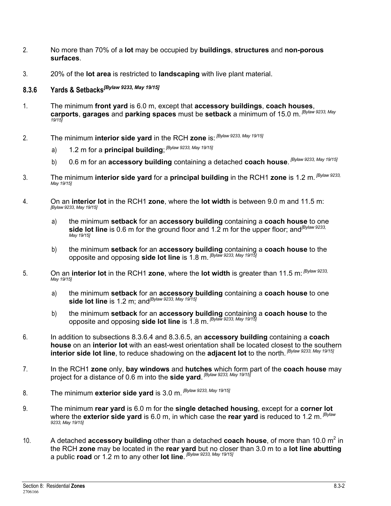- 2. No more than 70% of a **lot** may be occupied by **buildings**, **structures** and **non-porous surfaces**.
- 3. 20% of the **lot area** is restricted to **landscaping** with live plant material.
- **8.3.6 Yards & Setbacks***[Bylaw 9233, May 19/15]*
- 1. The minimum **front yard** is 6.0 m, except that **accessory buildings**, **coach houses**, **carports**, **garages** and **parking spaces** must be **setback** a minimum of 15.0 m. *[Bylaw 9233, May 19/15]*
- 2. The minimum **interior side yard** in the RCH **zone** is: *[Bylaw 9233, May 19/15]*
	- a) 1.2 m for a **principal building**;  *[Bylaw 9233, May 19/15]*
	- b) 0.6 m for an **accessory building** containing a detached **coach house**.  *[Bylaw 9233, May 19/15]*
- 3. The minimum **interior side yard** for a **principal building** in the RCH1 **zone** is 1.2 m. *[Bylaw 9233, May 19/15]*
- 4. On an **interior lot** in the RCH1 **zone**, where the **lot width** is between 9.0 m and 11.5 m: *[Bylaw 9233, May 19/15]*
	- a) the minimum **setback** for an **accessory building** containing a **coach house** to one side lot line is 0.6 m for the ground floor and 1.2 m for the upper floor; and<sup>[Bylaw 9233,</sup> *May 19/15]*
	- b) the minimum **setback** for an **accessory building** containing a **coach house** to the opposite and opposing **side lot line** is 1.8 m. *[Bylaw 9233, May 19/15]*
- 5. On an **interior lot** in the RCH1 **zone**, where the **lot width** is greater than 11.5 m: *[Bylaw 9233, May 19/15]*
	- a) the minimum **setback** for an **accessory building** containing a **coach house** to one **side lot line** is 1.2 m; and*[Bylaw 9233, May 19/15]*
	- b) the minimum **setback** for an **accessory building** containing a **coach house** to the opposite and opposing **side lot line** is 1.8 m. *[Bylaw 9233, May 19/15]*
- 6. In addition to subsections 8.3.6.4 and 8.3.6.5, an **accessory building** containing a **coach house** on an **interior lot** with an east-west orientation shall be located closest to the southern **interior side lot line**, to reduce shadowing on the **adjacent lot** to the north. *[Bylaw 9233, May 19/15]*
- 7. In the RCH1 **zone** only, **bay windows** and **hutches** which form part of the **coach house** may project for a distance of 0.6 m into the **side yard**.  *[Bylaw 9233, May 19/15]*
- 8. The minimum **exterior side yard** is 3.0 m. *[Bylaw 9233, May 19/15]*
- 9. The minimum **rear yard** is 6.0 m for the **single detached housing**, except for a **corner lot** where the **exterior side yard** is 6.0 m, in which case the **rear yard** is reduced to 1.2 m. *[Bylaw 9233, May 19/15]*
- 10. A detached **accessory building** other than a detached **coach house**, of more than 10.0 m<sup>2</sup> in the RCH **zone** may be located in the **rear yard** but no closer than 3.0 m to a **lot line abutting** a public **road** or 1.2 m to any other **lot line**.  *[Bylaw 9233, May 19/15]*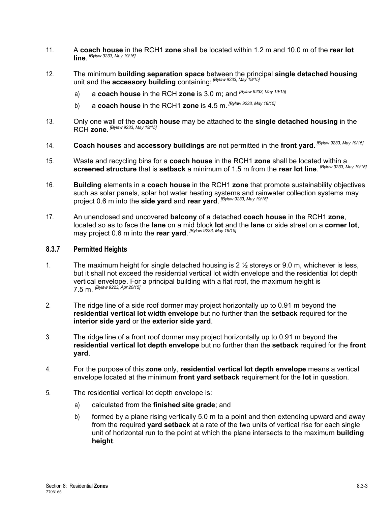- 11. A **coach house** in the RCH1 **zone** shall be located within 1.2 m and 10.0 m of the **rear lot line**.  *[Bylaw 9233, May 19/15]*
- 12. The minimum **building separation space** between the principal **single detached housing** unit and the **accessory building** containing: *[Bylaw 9233, May 19/15]*
	- a) a **coach house** in the RCH **zone** is 3.0 m; and *[Bylaw 9233, May 19/15]*
	- b) a **coach house** in the RCH1 **zone** is 4.5 m. *[Bylaw 9233, May 19/15]*
- 13. Only one wall of the **coach house** may be attached to the **single detached housing** in the RCH **zone**.  *[Bylaw 9233, May 19/15]*
- 14. **Coach houses** and **accessory buildings** are not permitted in the **front yard**.  *[Bylaw 9233, May 19/15]*
- 15. Waste and recycling bins for a **coach house** in the RCH1 **zone** shall be located within a **screened structure** that is **setback** a minimum of 1.5 m from the **rear lot line**.  *[Bylaw 9233, May 19/15]*
- 16. **Building** elements in a **coach house** in the RCH1 **zone** that promote sustainability objectives such as solar panels, solar hot water heating systems and rainwater collection systems may project 0.6 m into the **side yard** and **rear yard**.  *[Bylaw 9233, May 19/15]*
- 17. An unenclosed and uncovered **balcony** of a detached **coach house** in the RCH1 **zone**, located so as to face the **lane** on a mid block **lot** and the **lane** or side street on a **corner lot**, may project 0.6 m into the **rear yard**.  *[Bylaw 9233, May 19/15]*

### **8.3.7 Permitted Heights**

- 1. The maximum height for single detached housing is  $2\frac{1}{2}$  storeys or 9.0 m, whichever is less, but it shall not exceed the residential vertical lot width envelope and the residential lot depth vertical envelope. For a principal building with a flat roof, the maximum height is 7.5 m. *[Bylaw 9223, Apr 20/15]*
- 2. The ridge line of a side roof dormer may project horizontally up to 0.91 m beyond the **residential vertical lot width envelope** but no further than the **setback** required for the **interior side yard** or the **exterior side yard**.
- 3. The ridge line of a front roof dormer may project horizontally up to 0.91 m beyond the **residential vertical lot depth envelope** but no further than the **setback** required for the **front yard**.
- 4. For the purpose of this **zone** only, **residential vertical lot depth envelope** means a vertical envelope located at the minimum **front yard setback** requirement for the **lot** in question.
- 5. The residential vertical lot depth envelope is:
	- a) calculated from the **finished site grade**; and
	- b) formed by a plane rising vertically 5.0 m to a point and then extending upward and away from the required **yard setback** at a rate of the two units of vertical rise for each single unit of horizontal run to the point at which the plane intersects to the maximum **building height**.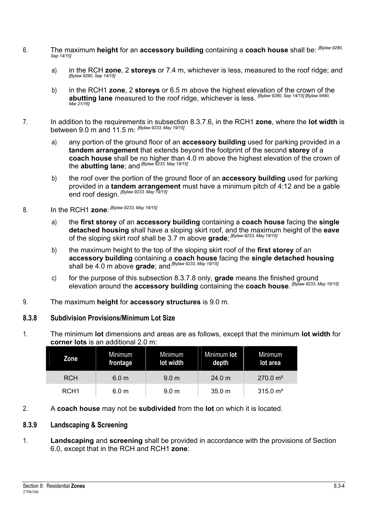- 6. The maximum **height** for an **accessory building** containing a **coach house** shall be: *[Bylaw 9280, Sep 14/15]*
	- a) in the RCH **zone**, 2 **storeys** or 7.4 m, whichever is less, measured to the roof ridge; and *[Bylaw 9280, Sep 14/15]*
	- b) in the RCH1 **zone**, 2 **storeys** or 6.5 m above the highest elevation of the crown of the **abutting lane** measured to the roof ridge, whichever is less. *[Bylaw 9280, Sep 14/15] [Bylaw 9490, Mar 21/16]*
- 7. In addition to the requirements in subsection 8.3.7.6, in the RCH1 **zone**, where the **lot width** is between 9.0 m and 11.5 m: *[Bylaw 9233, May 19/15]*
	- a) any portion of the ground floor of an **accessory building** used for parking provided in a **tandem arrangement** that extends beyond the footprint of the second **storey** of a **coach house** shall be no higher than 4.0 m above the highest elevation of the crown of the **abutting lane**; and *[Bylaw 9233, May 19/15]*
	- b) the roof over the portion of the ground floor of an **accessory building** used for parking provided in a **tandem arrangement** must have a minimum pitch of 4:12 and be a gable end roof design. *[Bylaw 9233, May 19/15]*
- 8. In the RCH1 **zone**:  *[Bylaw 9233, May 19/15]*
	- a) the **first storey** of an **accessory building** containing a **coach house** facing the **single detached housing** shall have a sloping skirt roof, and the maximum height of the **eave** of the sloping skirt roof shall be 3.7 m above **grade**;  *[Bylaw 9233, May 19/15]*
	- b) the maximum height to the top of the sloping skirt roof of the **first storey** of an **accessory building** containing a **coach house** facing the **single detached housing** shall be 4.0 m above **grade**; and *[Bylaw 9233, May 19/15]*
	- c) for the purpose of this subsection 8.3.7.8 only, **grade** means the finished ground elevation around the **accessory building** containing the **coach house**.  *[Bylaw 9233, May 19/15]*
- 9. The maximum **height** for **accessory structures** is 9.0 m.

### **8.3.8 Subdivision Provisions/Minimum Lot Size**

1. The minimum **lot** dimensions and areas are as follows, except that the minimum **lot width** for **corner lots** is an additional 2.0 m:

| Zone             | Minimum<br>frontage | Minimum<br>lot width | Minimum lot<br>depth | Minimum<br>lot area  |
|------------------|---------------------|----------------------|----------------------|----------------------|
| <b>RCH</b>       | 6.0 <sub>m</sub>    | 9.0 <sub>m</sub>     | 24.0 m               | 270.0 m <sup>2</sup> |
| RCH <sub>1</sub> | 6.0 <sub>m</sub>    | 9.0 <sub>m</sub>     | 35.0 m               | $315.0 \text{ m}^2$  |

2. A **coach house** may not be **subdivided** from the **lot** on which it is located.

### **8.3.9 Landscaping & Screening**

1. **Landscaping** and **screening** shall be provided in accordance with the provisions of Section 6.0, except that in the RCH and RCH1 **zone**: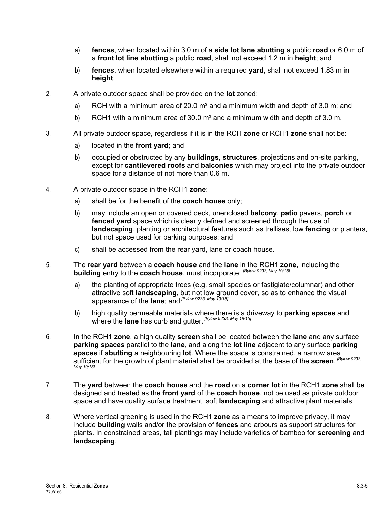- a) **fences**, when located within 3.0 m of a **side lot lane abutting** a public **road** or 6.0 m of a **front lot line abutting** a public **road**, shall not exceed 1.2 m in **height**; and
- b) **fences**, when located elsewhere within a required **yard**, shall not exceed 1.83 m in **height**.
- 2. A private outdoor space shall be provided on the **lot** zoned:
	- a) RCH with a minimum area of 20.0  $m<sup>2</sup>$  and a minimum width and depth of 3.0 m; and
	- b) RCH1 with a minimum area of 30.0  $m<sup>2</sup>$  and a minimum width and depth of 3.0 m.
- 3. All private outdoor space, regardless if it is in the RCH **zone** or RCH1 **zone** shall not be:
	- a) located in the **front yard**; and
	- b) occupied or obstructed by any **buildings**, **structures**, projections and on-site parking, except for **cantilevered roofs** and **balconies** which may project into the private outdoor space for a distance of not more than 0.6 m.
- 4. A private outdoor space in the RCH1 **zone**:
	- a) shall be for the benefit of the **coach house** only;
	- b) may include an open or covered deck, unenclosed **balcony**, **patio** pavers, **porch** or **fenced yard** space which is clearly defined and screened through the use of **landscaping**, planting or architectural features such as trellises, low **fencing** or planters, but not space used for parking purposes; and
	- c) shall be accessed from the rear yard, lane or coach house.
- 5. The **rear yard** between a **coach house** and the **lane** in the RCH1 **zone**, including the **building** entry to the **coach house**, must incorporate: *[Bylaw 9233, May 19/15]*
	- a) the planting of appropriate trees (e.g. small species or fastigiate/columnar) and other attractive soft **landscaping**, but not low ground cover, so as to enhance the visual appearance of the **lane**; and *[Bylaw 9233, May 19/15]*
	- b) high quality permeable materials where there is a driveway to **parking spaces** and where the **lane** has curb and gutter. *[Bylaw 9233, May 19/15]*
- 6. In the RCH1 **zone**, a high quality **screen** shall be located between the **lane** and any surface **parking spaces** parallel to the **lane**, and along the **lot line** adjacent to any surface **parking spaces** if **abutting** a neighbouring **lot**. Where the space is constrained, a narrow area sufficient for the growth of plant material shall be provided at the base of the **screen**. <sup>[Bylaw 9233,</sup> *May 19/15]*
- 7. The **yard** between the **coach house** and the **road** on a **corner lot** in the RCH1 **zone** shall be designed and treated as the **front yard** of the **coach house**, not be used as private outdoor space and have quality surface treatment, soft **landscaping** and attractive plant materials.
- 8. Where vertical greening is used in the RCH1 **zone** as a means to improve privacy, it may include **building** walls and/or the provision of **fences** and arbours as support structures for plants. In constrained areas, tall plantings may include varieties of bamboo for **screening** and **landscaping**.